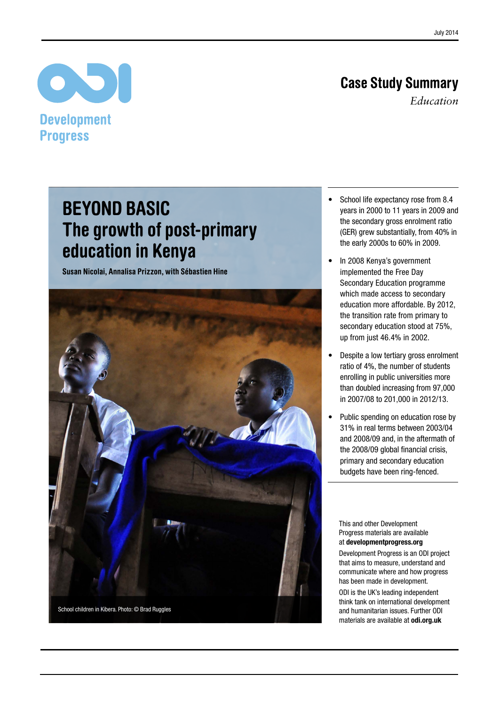# Case Study Summary

*Education*

# $\bullet$ **Development Progress**

# Beyond basic The growth of post-primary education in Kenya

Susan Nicolai, Annalisa Prizzon, with Sébastien Hine



- School life expectancy rose from 8.4 years in 2000 to 11 years in 2009 and the secondary gross enrolment ratio (GER) grew substantially, from 40% in the early 2000s to 60% in 2009.
- In 2008 Kenya's government implemented the Free Day Secondary Education programme which made access to secondary education more affordable. By 2012, the transition rate from primary to secondary education stood at 75%, up from just 46.4% in 2002.
- Despite a low tertiary gross enrolment ratio of 4%, the number of students enrolling in public universities more than doubled increasing from 97,000 in 2007/08 to 201,000 in 2012/13.
- • Public spending on education rose by 31% in real terms between 2003/04 and 2008/09 and, in the aftermath of the 2008/09 global financial crisis, primary and secondary education budgets have been ring-fenced.

This and other Development Progress materials are available at<developmentprogress.org>

Development Progress is an ODI project that aims to measure, understand and communicate where and how progress has been made in development.

ODI is the UK's leading independent think tank on international development and humanitarian issues. Further ODI materials are available at <odi.org.uk>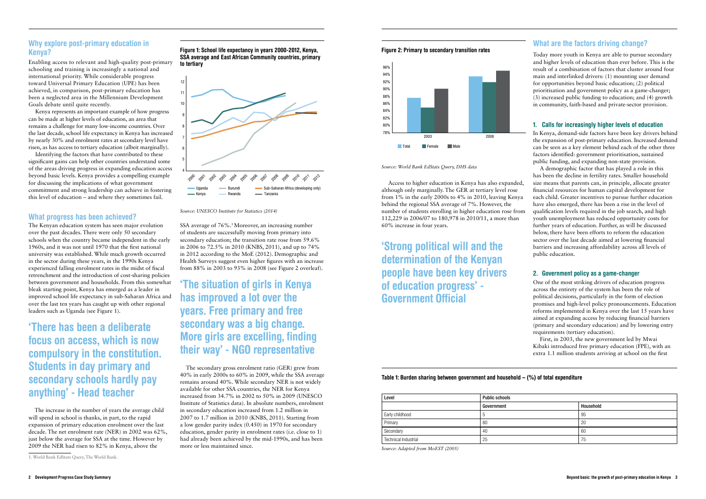Access to higher education in Kenya has also expanded, although only marginally. The GER at tertiary level rose from 1% in the early 2000s to 4% in 2010, leaving Kenya behind the regional SSA average of 7%. However, the number of students enrolling in higher education rose from 112,229 in 2006/07 to 180,978 in 2010/11, a more than 60% increase in four years.

'Strong political will and the determination of the Kenyan people have been key drivers of education progress' - Government Official

### Table 1: Burden sharing between government and household  $(%)$  of total expenditure

Today more youth in Kenya are able to pursue secondary and higher levels of education than ever before. This is the result of a combination of factors that cluster around four main and interlinked drivers: (1) mounting user demand for opportunities beyond basic education; (2) political prioritisation and government policy as a game-changer; (3) increased public funding to education; and (4) growth in community, faith-based and private-sector provision.

#### 1. Calls for increasingly higher levels of education

In Kenya, demand-side factors have been key drivers behind the expansion of post-primary education. Increased demand can be seen as a key element behind each of the other three factors identified: government prioritisation, sustained public funding, and expanding non-state provision.

A demographic factor that has played a role in this has been the decline in fertility rates. Smaller household size means that parents can, in principle, allocate greater financial resources for human capital development for each child. Greater incentives to pursue further education have also emerged, there has been a rise in the level of qualification levels required in the job search, and high youth unemployment has reduced opportunity costs for further years of education. Further, as will be discussed below, there have been efforts to reform the education sector over the last decade aimed at lowering financial barriers and increasing affordability across all levels of public education.

#### 2. Government policy as a game-changer

One of the most striking drivers of education progress across the entirety of the system has been the role of political decisions, particularly in the form of election promises and high-level policy pronouncements. Education reforms implemented in Kenya over the last 15 years have aimed at expanding access by reducing financial barriers (primary and secondary education) and by lowering entry requirements (tertiary education).

First, in 2003, the new government led by Mwai Kibaki introduced free primary education (FPE), with an extra 1.1 million students arriving at school on the first

| Public schools |           |  |
|----------------|-----------|--|
| Government     | Household |  |
| 5              | 95        |  |
| 80             | 20        |  |
| 40             | 60        |  |
| 25             | 75        |  |

### Why explore post-primary education in Kenya?

SSA average of 76%.<sup>1</sup> Moreover, an increasing number of students are successfully moving from primary into secondary education; the transition rate rose from 59.6% in 2006 to 72.5% in 2010 (KNBS, 2011), and up to 74% in 2012 according to the MoE (2012). Demographic and Health Surveys suggest even higher figures with an increase from 88% in 2003 to 93% in 2008 (see Figure 2 overleaf).

Enabling access to relevant and high-quality post-primary schooling and training is increasingly a national and international priority. While considerable progress toward Universal Primary Education (UPE) has been achieved, in comparison, post-primary education has been a neglected area in the Millennium Development Goals debate until quite recently.

Kenya represents an important example of how progress can be made at higher levels of education, an area that remains a challenge for many low-income countries. Over the last decade, school life expectancy in Kenya has increased by nearly 30% and enrolment rates at secondary level have risen, as has access to tertiary education (albeit marginally).

Identifying the factors that have contributed to these significant gains can help other countries understand some of the areas driving progress in expanding education access beyond basic levels. Kenya provides a compelling example for discussing the implications of what government commitment and strong leadership can achieve in fostering this level of education – and where they sometimes fail.

### What progress has been achieved?

The Kenyan education system has seen major evolution over the past decades. There were only 50 secondary schools when the country became independent in the early 1960s, and it was not until 1970 that the first national university was established. While much growth occurred in the sector during these years, in the 1990s Kenya experienced falling enrolment rates in the midst of fiscal retrenchment and the introduction of cost-sharing policies between government and households. From this somewhat bleak starting point, Kenya has emerged as a leader in improved school life expectancy in sub-Saharan Africa and over the last ten years has caught up with other regional leaders such as Uganda (see Figure 1).

### 'There has been a deliberate focus on access, which is now compulsory in the constitution. Students in day primary and secondary schools hardly pay anything' - Head teacher

 The increase in the number of years the average child will spend in school is thanks, in part, to the rapid expansion of primary education enrolment over the last decade. The net enrolment rate (NER) in 2002 was 62%, just below the average for SSA at the time. However by 2009 the NER had risen to 82% in Kenya, above the

## 'The situation of girls in Kenya has improved a lot over the years. Free primary and free secondary was a big change. More girls are excelling, finding their way' - NGO representative

 The secondary gross enrolment ratio (GER) grew from 40% in early 2000s to 60% in 2009, while the SSA average remains around 40%. While secondary NER is not widely available for other SSA countries, the NER for Kenya increased from 34.7% in 2002 to 50% in 2009 (UNESCO Institute of Statistics data). In absolute numbers, enrolment in secondary education increased from 1.2 million in 2007 to 1.7 million in 2010 (KNBS, 2011). Starting from a low gender parity index (0.450) in 1970 for secondary education, gender parity in enrolment rates (i.e. close to 1) had already been achieved by the mid-1990s, and has been more or less maintained since.

### What are the factors driving change?

Figure 1: School life expectancy in years 2000-2012, Kenya, SSA average and East African Community countries, primary to tertiary



*Source: UNESCO Institute for Statistics (2014)*

Figure 2: Primary to secondary transition rates



*Source: World Bank EdStats Query, DHS data*

| Level                       | <b>Public schools</b> |    |
|-----------------------------|-----------------------|----|
|                             | Government            | Ho |
| Early childhood             | $\mathfrak{h}$        | 95 |
| Primary                     | 80                    | 20 |
| Secondary                   | 40                    | 60 |
| <b>Technical Industrial</b> | 25                    | 75 |

*Source: Adapted from MoEST (2005)*

<sup>1.</sup> World Bank EdStats Query, The World Bank.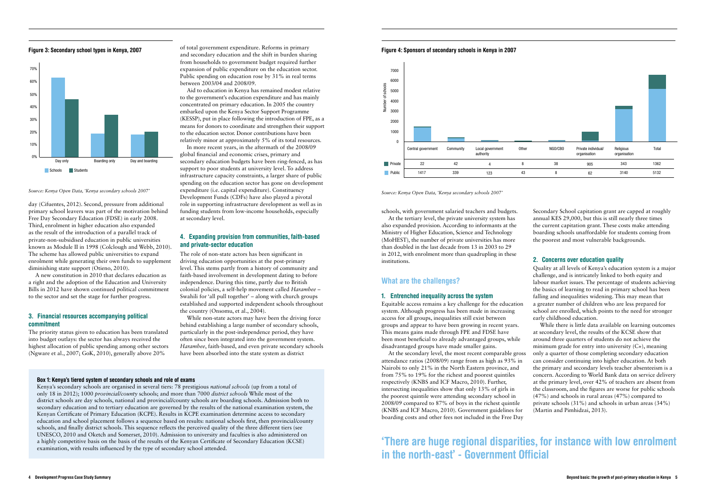schools, with government salaried teachers and budgets. At the tertiary level, the private university system has also expanded provision. According to informants at the Ministry of Higher Education, Science and Technology (MoHEST), the number of private universities has more than doubled in the last decade from 13 in 2003 to 29 in 2012, with enrolment more than quadrupling in these institutions.

#### What are the challenges?

#### 1. Entrenched inequality across the system

Equitable access remains a key challenge for the education system. Although progress has been made in increasing access for all groups, inequalities still exist between groups and appear to have been growing in recent years. This means gains made through FPE and FDSE have been most beneficial to already advantaged groups, while disadvantaged groups have made smaller gains.

Secondary School capitation grant are capped at roughly annual KES 29,000, but this is still nearly three times the current capitation grant. These costs make attending boarding schools unaffordable for students coming from the poorest and most vulnerable backgrounds.

#### 2. Concerns over education quality

At the secondary level, the most recent comparable gross attendance ratios (2008/09) range from as high as 93% in Nairobi to only 21% in the North Eastern province, and from 75% to 19% for the richest and poorest quintiles respectively (KNBS and ICF Macro, 2010). Further, intersecting inequalities show that only 13% of girls in the poorest quintile were attending secondary school in 2008/09 compared to 87% of boys in the richest quintile (KNBS and ICF Macro, 2010). Government guidelines for boarding costs and other fees not included in the Free Day While there is little data available on learning outcomes at secondary level, the results of the KCSE show that around three quarters of students do not achieve the minimum grade for entry into university (C+), meaning only a quarter of those completing secondary education can consider continuing into higher education. At both the primary and secondary levels teacher absenteeism is a concern. According to World Bank data on service delivery at the primary level, over 42% of teachers are absent from the classroom, and the figures are worse for public schools (47%) and schools in rural areas (47%) compared to private schools (31%) and schools in urban areas (34%) (Martin and Pimhidzai, 2013).

Quality at all levels of Kenya's education system is a major challenge, and is intricately linked to both equity and labour market issues. The percentage of students achieving the basics of learning to read in primary school has been falling and inequalities widening. This may mean that a greater number of children who are less prepared for school are enrolled, which points to the need for stronger early childhood education.

day (Cifuentes, 2012). Second, pressure from additional primary school leavers was part of the motivation behind Free Day Secondary Education (FDSE) in early 2008. Third, enrolment in higher education also expanded as the result of the introduction of a parallel track of private-non-subsidised education in public universities known as Module II in 1998 (Colclough and Webb, 2010). The scheme has allowed public universities to expand enrolment while generating their own funds to supplement diminishing state support (Otieno, 2010).

A new constitution in 2010 that declares education as a right and the adoption of the Education and University Bills in 2012 have shown continued political commitment to the sector and set the stage for further progress.

#### 3. Financial resources accompanying political commitment

The priority status given to education has been translated into budget outlays: the sector has always received the highest allocation of public spending among other sectors (Ngware et al., 2007; GoK, 2010), generally above 20%

of total government expenditure. Reforms in primary and secondary education and the shift in burden sharing from households to government budget required further expansion of public expenditure on the education sector. Public spending on education rose by 31% in real terms between 2003/04 and 2008/09.

Aid to education in Kenya has remained modest relative to the government's education expenditure and has mainly concentrated on primary education. In 2005 the country embarked upon the Kenya Sector Support Programme (KESSP), put in place following the introduction of FPE, as a means for donors to coordinate and strengthen their support to the education sector. Donor contributions have been relatively minor at approximately 5% of its total resources.

In more recent years, in the aftermath of the 2008/09 global financial and economic crises, primary and secondary education budgets have been ring-fenced, as has support to poor students at university level. To address infrastructure capacity constraints, a larger share of public spending on the education sector has gone on development expenditure (i.e. capital expenditure). Constituency Development Funds (CDFs) have also played a pivotal role in supporting infrastructure development as well as in funding students from low-income households, especially at secondary level.

#### 4. Expanding provision from communities, faith-based and private-sector education

The role of non-state actors has been significant in driving education opportunities at the post-primary level. This stems partly from a history of community and faith-based involvement in development dating to before independence. During this time, partly due to British colonial policies, a self-help movement called *Harambee* – Swahili for 'all pull together' – along with church groups established and supported independent schools throughout the country (Onsomu, et al., 2004).

While non-state actors may have been the driving force behind establishing a large number of secondary schools, particularly in the post-independence period, they have often since been integrated into the government system. *Harambee*, faith-based, and even private secondary schools have been absorbed into the state system as district

#### Box 1: Kenya's tiered system of secondary schools and role of exams

Kenya's secondary schools are organised in several tiers: 78 prestigious *national schools* (up from a total of only 18 in 2012); 1000 *provincial/county* schools; and more than 7000 *district schools* While most of the district schools are day schools, national and provincial/county schools are boarding schools. Admission both to secondary education and to tertiary education are governed by the results of the national examination system, the Kenyan Certificate of Primary Education (KCPE). Results in KCPE examination determine access to secondary education and school placement follows a sequence based on results: national schools first, then provincial/county schools, and finally district schools. This sequence reflects the perceived quality of the three different tiers (see UNESCO, 2010 and Oketch and Somerset, 2010). Admission to university and faculties is also administered on a highly competitive basis on the basis of the results of the Kenyan Certificate of Secondary Education (KCSE) examination, with results influenced by the type of secondary school attended.

#### Figure 3: Secondary school types in Kenya, 2007



*Source: Kenya Open Data, 'Kenya secondary schools 2007'*

#### Figure 4: Sponsors of secondary schools in Kenya in 2007



*Source: Kenya Open Data, 'Kenya secondary schools 2007'*

'There are huge regional disparities, for instance with low enrolment in the north-east' - Government Official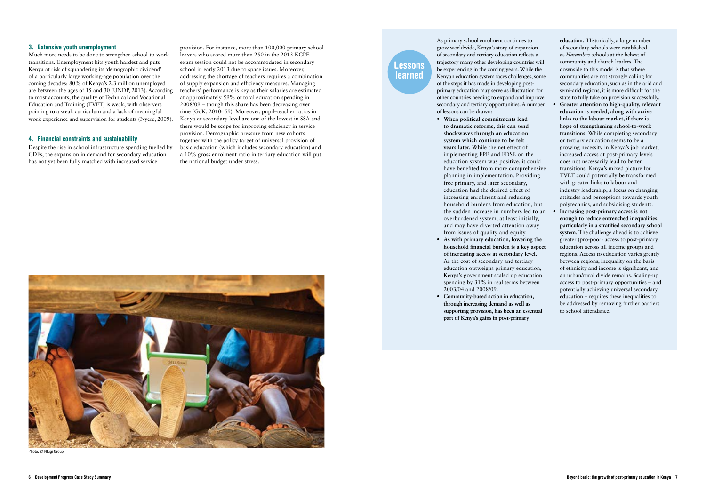#### 3. Extensive youth unemployment

Much more needs to be done to strengthen school-to-work transitions. Unemployment hits youth hardest and puts Kenya at risk of squandering its 'demographic dividend' of a particularly large working-age population over the coming decades: 80% of Kenya's 2.3 million unemployed are between the ages of 15 and 30 (UNDP, 2013). According to most accounts, the quality of Technical and Vocational Education and Training (TVET) is weak, with observers pointing to a weak curriculum and a lack of meaningful work experience and supervision for students (Nyere, 2009).

#### 4. Financial constraints and sustainability

Despite the rise in school infrastructure spending fuelled by CDFs, the expansion in demand for secondary education has not yet been fully matched with increased service

provision. For instance, more than 100,000 primary school leavers who scored more than 250 in the 2013 KCPE exam session could not be accommodated in secondary school in early 2013 due to space issues. Moreover, addressing the shortage of teachers requires a combination of supply expansion and efficiency measures. Managing teachers' performance is key as their salaries are estimated at approximately 59% of total education spending in 2008/09 – though this share has been decreasing over time (GoK, 2010: 59). Moreover, pupil–teacher ratios in Kenya at secondary level are one of the lowest in SSA and there would be scope for improving efficiency in service provision. Demographic pressure from new cohorts together with the policy target of universal provision of basic education (which includes secondary education) and a 10% gross enrolment ratio in tertiary education will put the national budget under stress.

As primary school enrolment continues to grow worldwide, Kenya's story of expansion of secondary and tertiary education reflects a trajectory many other developing countries will be experiencing in the coming years. While the Kenyan education system faces challenges, some of the steps it has made in developing postprimary education may serve as illustration for other countries needing to expand and improve secondary and tertiary opportunities. A number of lessons can be drawn:

- **• When political commitments lead to dramatic reforms, this can send shockwaves through an education system which continue to be felt years later.** While the net effect of implementing FPE and FDSE on the education system was positive, it could have benefited from more comprehensive planning in implementation. Providing free primary, and later secondary, education had the desired effect of increasing enrolment and reducing household burdens from education, but the sudden increase in numbers led to an overburdened system, at least initially, and may have diverted attention away from issues of quality and equity.
- **• As with primary education, lowering the household financial burden is a key aspect of increasing access at secondary level.** As the cost of secondary and tertiary education outweighs primary education, Kenya's government scaled up education spending by 31% in real terms between 2003/04 and 2008/09.
- **• Community-based action in education, through increasing demand as well as supporting provision, has been an essential part of Kenya's gains in post-primary**

**education.** Historically, a large number

of secondary schools were established as *Harambee* schools at the behest of community and church leaders. The downside to this model is that where communities are not strongly calling for secondary education, such as in the arid and semi-arid regions, it is more difficult for the state to fully take on provision successfully. **• Greater attention to high-quality, relevant education is needed, along with active links to the labour market, if there is hope of strengthening school-to-work transitions.** While completing secondary or tertiary education seems to be a growing necessity in Kenya's job market, increased access at post-primary levels does not necessarily lead to better transitions. Kenya's mixed picture for TVET could potentially be transformed with greater links to labour and industry leadership, a focus on changing attitudes and perceptions towards youth polytechnics, and subsidising students. **• Increasing post-primary access is not enough to reduce entrenched inequalities, particularly in a stratified secondary school system.** The challenge ahead is to achieve greater (pro-poor) access to post-primary education across all income groups and regions. Access to education varies greatly between regions, inequality on the basis of ethnicity and income is significant, and an urban/rural divide remains. Scaling-up access to post-primary opportunities – and potentially achieving universal secondary education – requires these inequalities to

be addressed by removing further barriers

to school attendance.

Lessons learned



Photo: © Ntugi Group